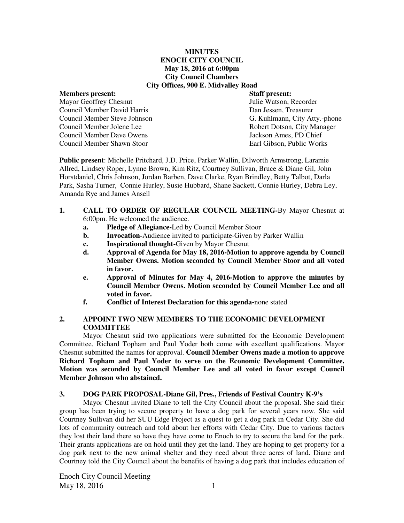## **MINUTES ENOCH CITY COUNCIL May 18, 2016 at 6:00pm City Council Chambers City Offices, 900 E. Midvalley Road**

Mayor Geoffrey Chesnut Council Member David Harris Dan Jessen, Treasurer Council Member Jolene Lee Robert Dotson, City Manager<br>
Council Member Dave Owens<br>
Jackson Ames. PD Chief Council Member Dave Owens Council Member Shawn Stoor Earl Gibson, Public Works

**Members present: Staff present:**  Council Member Steve Johnson G. Kuhlmann, City Atty.-phone

**Public present**: Michelle Pritchard, J.D. Price, Parker Wallin, Dilworth Armstrong, Laramie Allred, Lindsey Roper, Lynne Brown, Kim Ritz, Courtney Sullivan, Bruce & Diane Gil, John Horstdaniel, Chris Johnson, Jordan Barben, Dave Clarke, Ryan Brindley, Betty Talbot, Darla Park, Sasha Turner, Connie Hurley, Susie Hubbard, Shane Sackett, Connie Hurley, Debra Ley, Amanda Rye and James Ansell

- **1. CALL TO ORDER OF REGULAR COUNCIL MEETING-**By Mayor Chesnut at 6:00pm. He welcomed the audience.
	- **a. Pledge of Allegiance-**Led by Council Member Stoor
	- **b.** Invocation-Audience invited to participate-Given by Parker Wallin
	- **c. Inspirational thought-**Given by Mayor Chesnut
	- **d. Approval of Agenda for May 18, 2016-Motion to approve agenda by Council Member Owens. Motion seconded by Council Member Stoor and all voted in favor.**
	- **e. Approval of Minutes for May 4, 2016-Motion to approve the minutes by Council Member Owens. Motion seconded by Council Member Lee and all voted in favor.**
	- **f. Conflict of Interest Declaration for this agenda-**none stated

## **2. APPOINT TWO NEW MEMBERS TO THE ECONOMIC DEVELOPMENT COMMITTEE**

Mayor Chesnut said two applications were submitted for the Economic Development Committee. Richard Topham and Paul Yoder both come with excellent qualifications. Mayor Chesnut submitted the names for approval. **Council Member Owens made a motion to approve Richard Topham and Paul Yoder to serve on the Economic Development Committee. Motion was seconded by Council Member Lee and all voted in favor except Council Member Johnson who abstained.** 

#### **3. DOG PARK PROPOSAL-Diane Gil, Pres., Friends of Festival Country K-9's**

Mayor Chesnut invited Diane to tell the City Council about the proposal. She said their group has been trying to secure property to have a dog park for several years now. She said Courtney Sullivan did her SUU Edge Project as a quest to get a dog park in Cedar City. She did lots of community outreach and told about her efforts with Cedar City. Due to various factors they lost their land there so have they have come to Enoch to try to secure the land for the park. Their grants applications are on hold until they get the land. They are hoping to get property for a dog park next to the new animal shelter and they need about three acres of land. Diane and Courtney told the City Council about the benefits of having a dog park that includes education of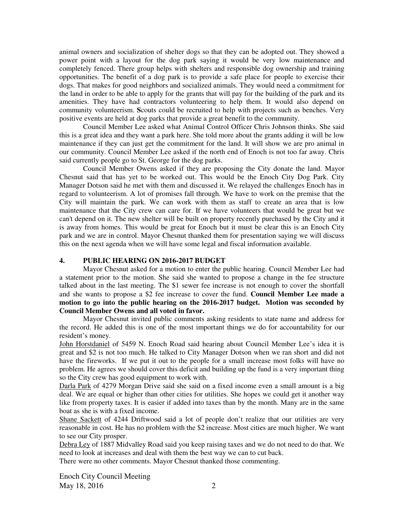animal owners and socialization of shelter dogs so that they can be adopted out. They showed a power point with a layout for the dog park saying it would be very low maintenance and completely fenced. There group helps with shelters and responsible dog ownership and training opportunities. The benefit of a dog park is to provide a safe place for people to exercise their dogs. That makes for good neighbors and socialized animals. They would need a commitment for the land in order to be able to apply for the grants that will pay for the building of the park and its amenities. They have had contractors volunteering to help them. It would also depend on community volunteerism. **S**couts could be recruited to help with projects such as benches. Very positive events are held at dog parks that provide a great benefit to the community.

Council Member Lee asked what Animal Control Officer Chris Johnson thinks. She said this is a great idea and they want a park here. She told more about the grants adding it will be low maintenance if they can just get the commitment for the land. It will show we are pro animal in our community. Council Member Lee asked if the north end of Enoch is not too far away. Chris said currently people go to St. George for the dog parks.

Council Member Owens asked if they are proposing the City donate the land. Mayor Chesnut said that has yet to be worked out. This would be the Enoch City Dog Park. City Manager Dotson said he met with them and discussed it. We relayed the challenges Enoch has in regard to volunteerism. A lot of promises fall through. We have to work on the premise that the City will maintain the park. We can work with them as staff to create an area that is low maintenance that the City crew can care for. If we have volunteers that would be great but we can't depend on it. The new shelter will be built on property recently purchased by the City and it is away from homes. This would be great for Enoch but it must be clear this is an Enoch City park and we are in control. Mayor Chesnut thanked them for presentation saying we will discuss this on the next agenda when we will have some legal and fiscal information available.

## **4. PUBLIC HEARING ON 2016-2017 BUDGET**

Mayor Chesnut asked for a motion to enter the public hearing. Council Member Lee had a statement prior to the motion. She said she wanted to propose a change in the fee structure talked about in the last meeting. The \$1 sewer fee increase is not enough to cover the shortfall and she wants to propose a \$2 fee increase to cover the fund. **Council Member Lee made a motion to go into the public hearing on the 2016-2017 budget. Motion was seconded by Council Member Owens and all voted in favor.** 

Mayor Chesnut invited public comments asking residents to state name and address for the record. He added this is one of the most important things we do for accountability for our resident's money.

John Horstdaniel of 5459 N. Enoch Road said hearing about Council Member Lee's idea it is great and \$2 is not too much. He talked to City Manager Dotson when we ran short and did not have the fireworks. If we put it out to the people for a small increase most folks will have no problem. He agrees we should cover this deficit and building up the fund is a very important thing so the City crew has good equipment to work with.

Darla Park of 4279 Morgan Drive said she said on a fixed income even a small amount is a big deal. We are equal or higher than other cities for utilities. She hopes we could get it another way like from property taxes. It is easier if added into taxes than by the month. Many are in the same boat as she is with a fixed income.

Shane Sackett of 4244 Driftwood said a lot of people don't realize that our utilities are very reasonable in cost. He has no problem with the \$2 increase. Most cities are much higher. We want to see our City prosper.

Debra Ley of 1887 Midvalley Road said you keep raising taxes and we do not need to do that. We need to look at increases and deal with them the best way we can to cut back.

There were no other comments. Mayor Chesnut thanked those commenting.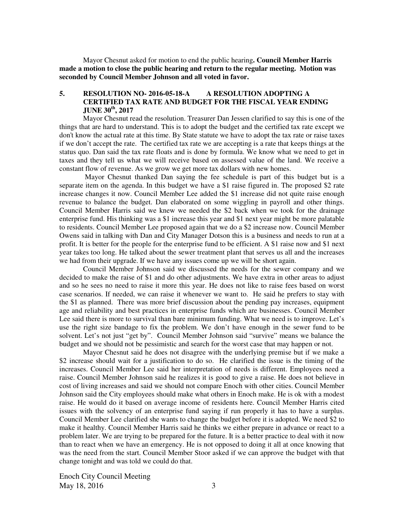Mayor Chesnut asked for motion to end the public hearing**. Council Member Harris made a motion to close the public hearing and return to the regular meeting. Motion was seconded by Council Member Johnson and all voted in favor.** 

## **5. RESOLUTION NO- 2016-05-18-A A RESOLUTION ADOPTING A CERTIFIED TAX RATE AND BUDGET FOR THE FISCAL YEAR ENDING JUNE 30th, 2017**

Mayor Chesnut read the resolution. Treasurer Dan Jessen clarified to say this is one of the things that are hard to understand. This is to adopt the budget and the certified tax rate except we don't know the actual rate at this time. By State statute we have to adopt the tax rate or raise taxes if we don't accept the rate. The certified tax rate we are accepting is a rate that keeps things at the status quo. Dan said the tax rate floats and is done by formula. We know what we need to get in taxes and they tell us what we will receive based on assessed value of the land. We receive a constant flow of revenue. As we grow we get more tax dollars with new homes.

Mayor Chesnut thanked Dan saying the fee schedule is part of this budget but is a separate item on the agenda. In this budget we have a \$1 raise figured in. The proposed \$2 rate increase changes it now. Council Member Lee added the \$1 increase did not quite raise enough revenue to balance the budget. Dan elaborated on some wiggling in payroll and other things. Council Member Harris said we knew we needed the \$2 back when we took for the drainage enterprise fund. His thinking was a \$1 increase this year and \$1 next year might be more palatable to residents. Council Member Lee proposed again that we do a \$2 increase now. Council Member Owens said in talking with Dan and City Manager Dotson this is a business and needs to run at a profit. It is better for the people for the enterprise fund to be efficient. A \$1 raise now and \$1 next year takes too long. He talked about the sewer treatment plant that serves us all and the increases we had from their upgrade. If we have any issues come up we will be short again.

Council Member Johnson said we discussed the needs for the sewer company and we decided to make the raise of \$1 and do other adjustments. We have extra in other areas to adjust and so he sees no need to raise it more this year. He does not like to raise fees based on worst case scenarios. If needed, we can raise it whenever we want to. He said he prefers to stay with the \$1 as planned. There was more brief discussion about the pending pay increases, equipment age and reliability and best practices in enterprise funds which are businesses. Council Member Lee said there is more to survival than bare minimum funding. What we need is to improve. Let's use the right size bandage to fix the problem. We don't have enough in the sewer fund to be solvent. Let's not just "get by".Council Member Johnson said "survive" means we balance the budget and we should not be pessimistic and search for the worst case that may happen or not.

Mayor Chesnut said he does not disagree with the underlying premise but if we make a \$2 increase should wait for a justification to do so. He clarified the issue is the timing of the increases. Council Member Lee said her interpretation of needs is different. Employees need a raise. Council Member Johnson said he realizes it is good to give a raise. He does not believe in cost of living increases and said we should not compare Enoch with other cities. Council Member Johnson said the City employees should make what others in Enoch make. He is ok with a modest raise. He would do it based on average income of residents here. Council Member Harris cited issues with the solvency of an enterprise fund saying if run properly it has to have a surplus. Council Member Lee clarified she wants to change the budget before it is adopted. We need \$2 to make it healthy. Council Member Harris said he thinks we either prepare in advance or react to a problem later. We are trying to be prepared for the future. It is a better practice to deal with it now than to react when we have an emergency. He is not opposed to doing it all at once knowing that was the need from the start. Council Member Stoor asked if we can approve the budget with that change tonight and was told we could do that.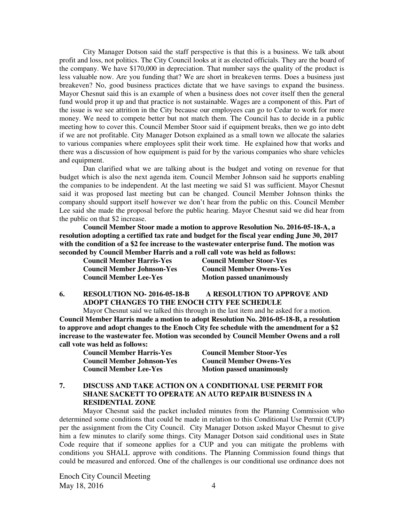City Manager Dotson said the staff perspective is that this is a business. We talk about profit and loss, not politics. The City Council looks at it as elected officials. They are the board of the company. We have \$170,000 in depreciation. That number says the quality of the product is less valuable now. Are you funding that? We are short in breakeven terms. Does a business just breakeven? No, good business practices dictate that we have savings to expand the business. Mayor Chesnut said this is an example of when a business does not cover itself then the general fund would prop it up and that practice is not sustainable. Wages are a component of this. Part of the issue is we see attrition in the City because our employees can go to Cedar to work for more money. We need to compete better but not match them. The Council has to decide in a public meeting how to cover this. Council Member Stoor said if equipment breaks, then we go into debt if we are not profitable. City Manager Dotson explained as a small town we allocate the salaries to various companies where employees split their work time. He explained how that works and there was a discussion of how equipment is paid for by the various companies who share vehicles and equipment.

Dan clarified what we are talking about is the budget and voting on revenue for that budget which is also the next agenda item. Council Member Johnson said he supports enabling the companies to be independent. At the last meeting we said \$1 was sufficient. Mayor Chesnut said it was proposed last meeting but can be changed. Council Member Johnson thinks the company should support itself however we don't hear from the public on this. Council Member Lee said she made the proposal before the public hearing. Mayor Chesnut said we did hear from the public on that \$2 increase.

**Council Member Stoor made a motion to approve Resolution No. 2016-05-18-A, a resolution adopting a certified tax rate and budget for the fiscal year ending June 30, 2017 with the condition of a \$2 fee increase to the wastewater enterprise fund. The motion was seconded by Council Member Harris and a roll call vote was held as follows:** 

| <b>Council Member Harris-Yes</b>  | <b>Council Member Stoor-Yes</b>  |
|-----------------------------------|----------------------------------|
| <b>Council Member Johnson-Yes</b> | <b>Council Member Owens-Yes</b>  |
| <b>Council Member Lee-Yes</b>     | <b>Motion passed unanimously</b> |

**6. RESOLUTION NO- 2016-05-18-B A RESOLUTION TO APPROVE AND ADOPT CHANGES TO THE ENOCH CITY FEE SCHEDULE** 

Mayor Chesnut said we talked this through in the last item and he asked for a motion. **Council Member Harris made a motion to adopt Resolution No. 2016-05-18-B, a resolution to approve and adopt changes to the Enoch City fee schedule with the amendment for a \$2 increase to the wastewater fee. Motion was seconded by Council Member Owens and a roll call vote was held as follows:** 

**Council Member Harris-Yes Council Member Stoor-Yes Council Member Johnson-Yes Council Member Owens-Yes Council Member Lee-Yes Motion passed unanimously** 

## **7. DISCUSS AND TAKE ACTION ON A CONDITIONAL USE PERMIT FOR SHANE SACKETT TO OPERATE AN AUTO REPAIR BUSINESS IN A RESIDENTIAL ZONE**

 Mayor Chesnut said the packet included minutes from the Planning Commission who determined some conditions that could be made in relation to this Conditional Use Permit (CUP) per the assignment from the City Council. City Manager Dotson asked Mayor Chesnut to give him a few minutes to clarify some things. City Manager Dotson said conditional uses in State Code require that if someone applies for a CUP and you can mitigate the problems with conditions you SHALL approve with conditions. The Planning Commission found things that could be measured and enforced. One of the challenges is our conditional use ordinance does not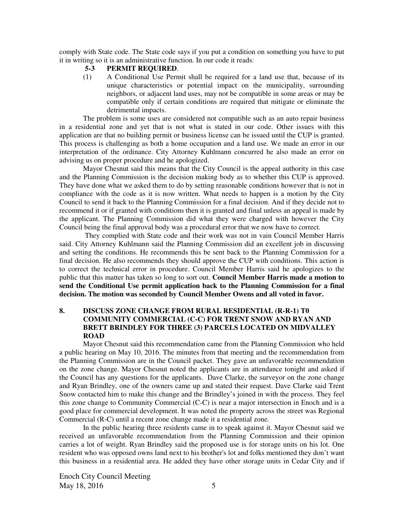comply with State code. The State code says if you put a condition on something you have to put it in writing so it is an administrative function. In our code it reads:

#### **5-3 PERMIT REQUIRED**.

(1) A Conditional Use Permit shall be required for a land use that, because of its unique characteristics or potential impact on the municipality, surrounding neighbors, or adjacent land uses, may not be compatible in some areas or may be compatible only if certain conditions are required that mitigate or eliminate the detrimental impacts.

The problem is some uses are considered not compatible such as an auto repair business in a residential zone and yet that is not what is stated in our code. Other issues with this application are that no building permit or business license can be issued until the CUP is granted. This process is challenging as both a home occupation and a land use. We made an error in our interpretation of the ordinance. City Attorney Kuhlmann concurred he also made an error on advising us on proper procedure and he apologized.

Mayor Chesnut said this means that the City Council is the appeal authority in this case and the Planning Commission is the decision making body as to whether this CUP is approved. They have done what we asked them to do by setting reasonable conditions however that is not in compliance with the code as it is now written. What needs to happen is a motion by the City Council to send it back to the Planning Commission for a final decision. And if they decide not to recommend it or if granted with conditions then it is granted and final unless an appeal is made by the applicant. The Planning Commission did what they were charged with however the City Council being the final approval body was a procedural error that we now have to correct.

 They complied with State code and their work was not in vain Council Member Harris said. City Attorney Kuhlmann said the Planning Commission did an excellent job in discussing and setting the conditions. He recommends this be sent back to the Planning Commission for a final decision. He also recommends they should approve the CUP with conditions. This action is to correct the technical error in procedure. Council Member Harris said he apologizes to the public that this matter has taken so long to sort out. **Council Member Harris made a motion to send the Conditional Use permit application back to the Planning Commission for a final decision. The motion was seconded by Council Member Owens and all voted in favor.** 

## **8. DISCUSS ZONE CHANGE FROM RURAL RESIDENTIAL (R-R-1) T0 COMMUNITY COMMERCIAL (C-C) FOR TRENT SNOW AND RYAN AND BRETT BRINDLEY FOR THREE (3) PARCELS LOCATED ON MIDVALLEY ROAD**

Mayor Chesnut said this recommendation came from the Planning Commission who held a public hearing on May 10, 2016. The minutes from that meeting and the recommendation from the Planning Commission are in the Council packet. They gave an unfavorable recommendation on the zone change. Mayor Chesnut noted the applicants are in attendance tonight and asked if the Council has any questions for the applicants. Dave Clarke, the surveyor on the zone change and Ryan Brindley, one of the owners came up and stated their request. Dave Clarke said Trent Snow contacted him to make this change and the Brindley's joined in with the process. They feel this zone change to Community Commercial (C-C) is near a major intersection in Enoch and is a good place for commercial development. It was noted the property across the street was Regional Commercial (R-C) until a recent zone change made it a residential zone.

In the public hearing three residents came in to speak against it. Mayor Chesnut said we received an unfavorable recommendation from the Planning Commission and their opinion carries a lot of weight. Ryan Brindley said the proposed use is for storage units on his lot. One resident who was opposed owns land next to his brother's lot and folks mentioned they don't want this business in a residential area. He added they have other storage units in Cedar City and if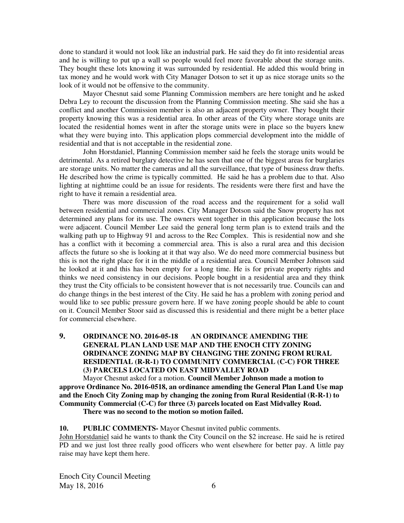done to standard it would not look like an industrial park. He said they do fit into residential areas and he is willing to put up a wall so people would feel more favorable about the storage units. They bought these lots knowing it was surrounded by residential. He added this would bring in tax money and he would work with City Manager Dotson to set it up as nice storage units so the look of it would not be offensive to the community.

Mayor Chesnut said some Planning Commission members are here tonight and he asked Debra Ley to recount the discussion from the Planning Commission meeting. She said she has a conflict and another Commission member is also an adjacent property owner. They bought their property knowing this was a residential area. In other areas of the City where storage units are located the residential homes went in after the storage units were in place so the buyers knew what they were buying into. This application plops commercial development into the middle of residential and that is not acceptable in the residential zone.

John Horstdaniel, Planning Commission member said he feels the storage units would be detrimental. As a retired burglary detective he has seen that one of the biggest areas for burglaries are storage units. No matter the cameras and all the surveillance, that type of business draw thefts. He described how the crime is typically committed. He said he has a problem due to that. Also lighting at nighttime could be an issue for residents. The residents were there first and have the right to have it remain a residential area.

There was more discussion of the road access and the requirement for a solid wall between residential and commercial zones. City Manager Dotson said the Snow property has not determined any plans for its use. The owners went together in this application because the lots were adjacent. Council Member Lee said the general long term plan is to extend trails and the walking path up to Highway 91 and across to the Rec Complex. This is residential now and she has a conflict with it becoming a commercial area. This is also a rural area and this decision affects the future so she is looking at it that way also. We do need more commercial business but this is not the right place for it in the middle of a residential area. Council Member Johnson said he looked at it and this has been empty for a long time. He is for private property rights and thinks we need consistency in our decisions. People bought in a residential area and they think they trust the City officials to be consistent however that is not necessarily true. Councils can and do change things in the best interest of the City. He said he has a problem with zoning period and would like to see public pressure govern here. If we have zoning people should be able to count on it. Council Member Stoor said as discussed this is residential and there might be a better place for commercial elsewhere.

# **9. ORDINANCE NO. 2016-05-18 AN ORDINANCE AMENDING THE GENERAL PLAN LAND USE MAP AND THE ENOCH CITY ZONING ORDINANCE ZONING MAP BY CHANGING THE ZONING FROM RURAL RESIDENTIAL (R-R-1) TO COMMUNITY COMMERCIAL (C-C) FOR THREE (3) PARCELS LOCATED ON EAST MIDVALLEY ROAD**

Mayor Chesnut asked for a motion. **Council Member Johnson made a motion to approve Ordinance No. 2016-0518, an ordinance amending the General Plan Land Use map and the Enoch City Zoning map by changing the zoning from Rural Residential (R-R-1) to Community Commercial (C-C) for three (3) parcels located on East Midvalley Road. There was no second to the motion so motion failed.**

## **10. PUBLIC COMMENTS-** Mayor Chesnut invited public comments.

John Horstdaniel said he wants to thank the City Council on the \$2 increase. He said he is retired PD and we just lost three really good officers who went elsewhere for better pay. A little pay raise may have kept them here.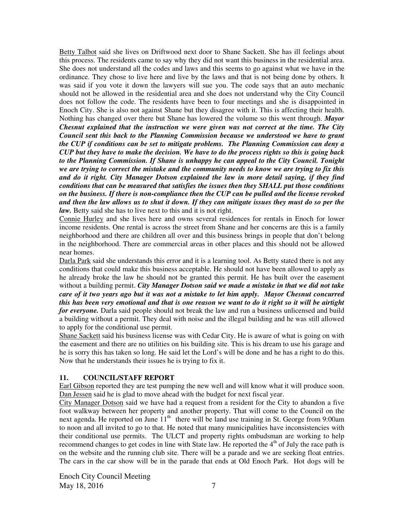Betty Talbot said she lives on Driftwood next door to Shane Sackett. She has ill feelings about this process. The residents came to say why they did not want this business in the residential area. She does not understand all the codes and laws and this seems to go against what we have in the ordinance. They chose to live here and live by the laws and that is not being done by others. It was said if you vote it down the lawyers will sue you. The code says that an auto mechanic should not be allowed in the residential area and she does not understand why the City Council does not follow the code. The residents have been to four meetings and she is disappointed in Enoch City. She is also not against Shane but they disagree with it. This is affecting their health. Nothing has changed over there but Shane has lowered the volume so this went through. *Mayor Chesnut explained that the instruction we were given was not correct at the time. The City Council sent this back to the Planning Commission because we understood we have to grant the CUP if conditions can be set to mitigate problems. The Planning Commission can deny a CUP but they have to make the decision. We have to do the process rights so this is going back to the Planning Commission. If Shane is unhappy he can appeal to the City Council. Tonight we are trying to correct the mistake and the community needs to know we are trying to fix this and do it right. City Manager Dotson explained the law in more detail saying, if they find conditions that can be measured that satisfies the issues then they SHALL put those conditions on the business. If there is non-compliance then the CUP can be pulled and the license revoked and then the law allows us to shut it down. If they can mitigate issues they must do so per the law.* Betty said she has to live next to this and it is not right.

Connie Hurley and she lives here and owns several residences for rentals in Enoch for lower income residents. One rental is across the street from Shane and her concerns are this is a family neighborhood and there are children all over and this business brings in people that don't belong in the neighborhood. There are commercial areas in other places and this should not be allowed near homes.

Darla Park said she understands this error and it is a learning tool. As Betty stated there is not any conditions that could make this business acceptable. He should not have been allowed to apply as he already broke the law he should not be granted this permit. He has built over the easement without a building permit. *City Manager Dotson said we made a mistake in that we did not take care of it two years ago but it was not a mistake to let him apply. Mayor Chesnut concurred this has been very emotional and that is one reason we want to do it right so it will be airtight for everyone.* Darla said people should not break the law and run a business unlicensed and build a building without a permit. They deal with noise and the illegal building and he was still allowed to apply for the conditional use permit.

Shane Sackett said his business license was with Cedar City. He is aware of what is going on with the easement and there are no utilities on his building site. This is his dream to use his garage and he is sorry this has taken so long. He said let the Lord's will be done and he has a right to do this. Now that he understands their issues he is trying to fix it.

## **11. COUNCIL/STAFF REPORT**

Earl Gibson reported they are test pumping the new well and will know what it will produce soon. Dan Jessen said he is glad to move ahead with the budget for next fiscal year.

City Manager Dotson said we have had a request from a resident for the City to abandon a five foot walkway between her property and another property. That will come to the Council on the next agenda. He reported on June  $11<sup>th</sup>$  there will be land use training in St. George from 9:00am to noon and all invited to go to that. He noted that many municipalities have inconsistencies with their conditional use permits. The ULCT and property rights ombudsman are working to help recommend changes to get codes in line with State law. He reported the 4<sup>th</sup> of July the race path is on the website and the running club site. There will be a parade and we are seeking float entries. The cars in the car show will be in the parade that ends at Old Enoch Park. Hot dogs will be